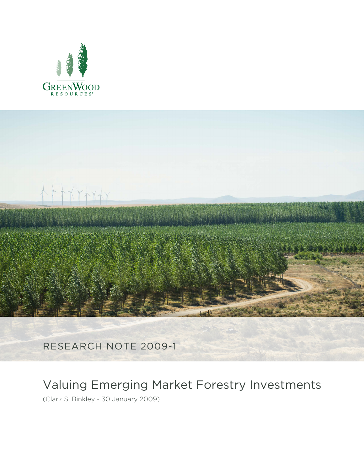



RESEARCH NOTE 2009-1

# Valuing Emerging Market Forestry Investments

(Clark S. Binkley - 30 January 2009)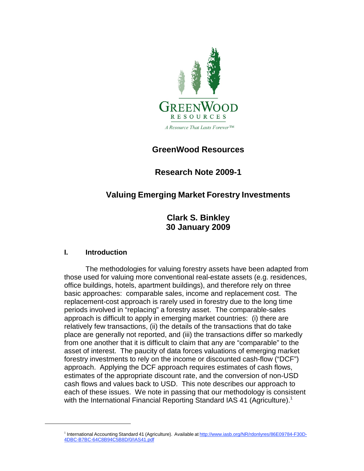

# **GreenWood Resources**

**Research Note 2009-1**

# **Valuing Emerging Market Forestry Investments**

**Clark S. Binkley 30 January 2009**

## **I. Introduction**

The methodologies for valuing forestry assets have been adapted from those used for valuing more conventional real-estate assets (e.g. residences, office buildings, hotels, apartment buildings), and therefore rely on three basic approaches: comparable sales, income and replacement cost. The replacement-cost approach is rarely used in forestry due to the long time periods involved in "replacing" a forestry asset. The comparable-sales approach is difficult to apply in emerging market countries: (i) there are relatively few transactions, (ii) the details of the transactions that do take place are generally not reported, and (iii) the transactions differ so markedly from one another that it is difficult to claim that any are "comparable" to the asset of interest. The paucity of data forces valuations of emerging market forestry investments to rely on the income or discounted cash-flow ("DCF") approach. Applying the DCF approach requires estimates of cash flows, estimates of the appropriate discount rate, and the conversion of non-USD cash flows and values back to USD. This note describes our approach to each of these issues. We note in passing that our methodology is consistent with the International Financial Reporting Standard IAS 41 (Agriculture).<sup>1</sup>

<sup>&</sup>lt;sup>1</sup> International Accounting Standard 41 (Agriculture). Available at <http://www.iasb.org/NR/rdonlyres/86E09784-F30D->4DBC-B7BC-64C8B94C5B8D/0/IAS41.pdf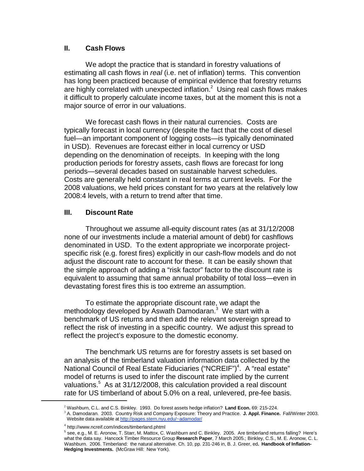## **II. Cash Flows**

We adopt the practice that is standard in forestry valuations of estimating all cash flows in *real* (i.e. net of inflation) terms. This convention has long been practiced because of empirical evidence that forestry returns are highly correlated with unexpected inflation. $^2\,$  Using real cash flows makes it difficult to properly calculate income taxes, but at the moment this is not a major source of error in our valuations.

We forecast cash flows in their natural currencies. Costs are typically forecast in local currency (despite the fact that the cost of diesel fuel—an important component of logging costs—is typically denominated in USD). Revenues are forecast either in local currency or USD depending on the denomination of receipts. In keeping with the long production periods for forestry assets, cash flows are forecast for long periods—several decades based on sustainable harvest schedules. Costs are generally held constant in real terms at current levels. For the 2008 valuations, we held prices constant for two years at the relatively low 2008:4 levels, with a return to trend after that time.

### **III. Discount Rate**

Throughout we assume all-equity discount rates (as at 31/12/2008 none of our investments include a material amount of debt) for cashflows denominated in USD. To the extent appropriate we incorporate projectspecific risk (e.g. forest fires) explicitly in our cash-flow models and do not adjust the discount rate to account for these. It can be easily shown that the simple approach of adding a "risk factor" factor to the discount rate is equivalent to assuming that same annual probability of total loss—even in devastating forest fires this is too extreme an assumption.

To estimate the appropriate discount rate, we adapt the methodology developed by Aswath Damodaran. 3 We start with a benchmark of US returns and then add the relevant sovereign spread to reflect the risk of investing in a specific country. We adjust this spread to reflect the project's exposure to the domestic economy.

The benchmark US returns are for forestry assets is set based on an analysis of the timberland valuation information data collected by the National Council of Real Estate Fiduciaries ("NCREIF")<sup>4</sup>. A "real estate" model of returns is used to infer the discount rate implied by the current valuations. <sup>5</sup> As at 31/12/2008, this calculation provided a real discount rate for US timberland of about 5.0% on a real, unlevered, pre-fee basis.

<sup>&</sup>lt;sup>2</sup> Washburn, C.L. and C.S. Binkley. 1993. Do forest assets hedge inflation? Land Econ. 69: 215-224.<br><sup>3</sup> A. Damodaran. 2003. Country Risk and Company Exposure: Theory and Practice. J. Appl. Finance. Fall/Winter 2003. Website data available at [http://pages.stern.nyu.edu/~adamodar/](http://pages.stern.nyu.edu/%7Eadamodar/)

<sup>4</sup> <http://www.ncreif.com/indices/timberland.phtml>

<sup>&</sup>lt;sup>5</sup> see, e.g., M. E. Aronow, T. Starr, M. Mattox, C. Washburn and C. Binkley. 2005. Are timberland returns falling? Here's what the data say. Hancock Timber Resource Group **Research Paper**, 7 March 2005.; Binkley, C.S., M. E. Aronow, C. L. Washburn. 2006. Timberland: the natural alternative. Ch. 10, pp. 231-246 in, B. J. Greer, ed**. Handbook of Inflation-Hedging Investments.** (McGraw Hill: New York).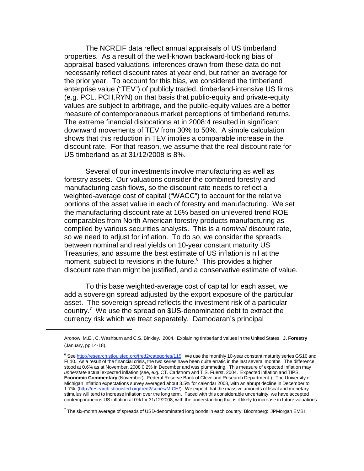The NCREIF data reflect annual appraisals of US timberland properties. As a result of the well-known backward-looking bias of appraisal-based valuations, inferences drawn from these data do not necessarily reflect discount rates at year end, but rather an average for the prior year. To account for this bias, we considered the timberland enterprise value ("TEV") of publicly traded, timberland-intensive US firms (e.g. PCL, PCH,RYN) on that basis that public-equity and private-equity values are subject to arbitrage, and the public-equity values are a better measure of contemporaneous market perceptions of timberland returns. The extreme financial dislocations at in 2008:4 resulted in significant downward movements of TEV from 30% to 50%. A simple calculation shows that this reduction in TEV implies a comparable increase in the discount rate. For that reason, we assume that the real discount rate for US timberland as at 31/12/2008 is 8%.

Several of our investments involve manufacturing as well as forestry assets. Our valuations consider the combined forestry and manufacturing cash flows, so the discount rate needs to reflect a weighted-average cost of capital ("WACC") to account for the relative portions of the asset value in each of forestry and manufacturing. We set the manufacturing discount rate at 16% based on unlevered trend ROE comparables from North American forestry products manufacturing as compiled by various securities analysts. This is a *nominal* discount rate, so we need to adjust for inflation. To do so, we consider the spreads between nominal and real yields on 10-year constant maturity US Treasuries, and assume the best estimate of US inflation is nil at the moment, subject to revisions in the future. $6$  This provides a higher discount rate than might be justified, and a conservative estimate of value.

To this base weighted-average cost of capital for each asset, we add a sovereign spread adjusted by the export exposure of the particular asset. The sovereign spread reflects the investment risk of a particular country.<sup>7</sup> We use the spread on  $US$ -denominated debt to extract the currency risk which we treat separately. Damodaran's principal

 $^7$  The six-month average of spreads of USD-denominated long bonds in each country; Bloomberg: JPMorgan EMBI

Aronow, M.E., C. Washburn and C.S. Binkley. 2004. Explaining timberland values in the United States. **J. Forestry** (January, pp 14-18).

<sup>&</sup>lt;sup>6</sup> See [http://research.stlouisfed.org/fred2/categories/115.](http://research.stlouisfed.org/fred2/categories/115) We use the monthly 10-year constant maturity series GS10 and FII10. As a result of the financial crisis, the two series have been quite erratic in the last several months. The difference stood at 0.6% as at November, 2008 0.2% in December and was plummeting. This measure of expected inflation may *understate* actual expected inflation (see, e.g. CT. Carlstrom and T.S. Fuerst. 2004. Expected inflation and TIPS. **Economic Commentary** (November). Federal Reserve Bank of Cleveland Research Department.). The University of Michigan Inflation expectations survey averaged about 3.5% for calendar 2008, with an abrupt decline in December to 1.7%. [\(http://research.stlouisfed.org/fred2/series/MICH/\).](http://research.stlouisfed.org/fred2/series/MICH/)) We expect that the massive amounts of fiscal and monetary stimulus will tend to increase inflation over the long term. Faced with this considerable uncertainty, we have accepted contemporaneous US inflation at 0% for 31/12/2008, with the understanding that is it likely to increase in future valuations.